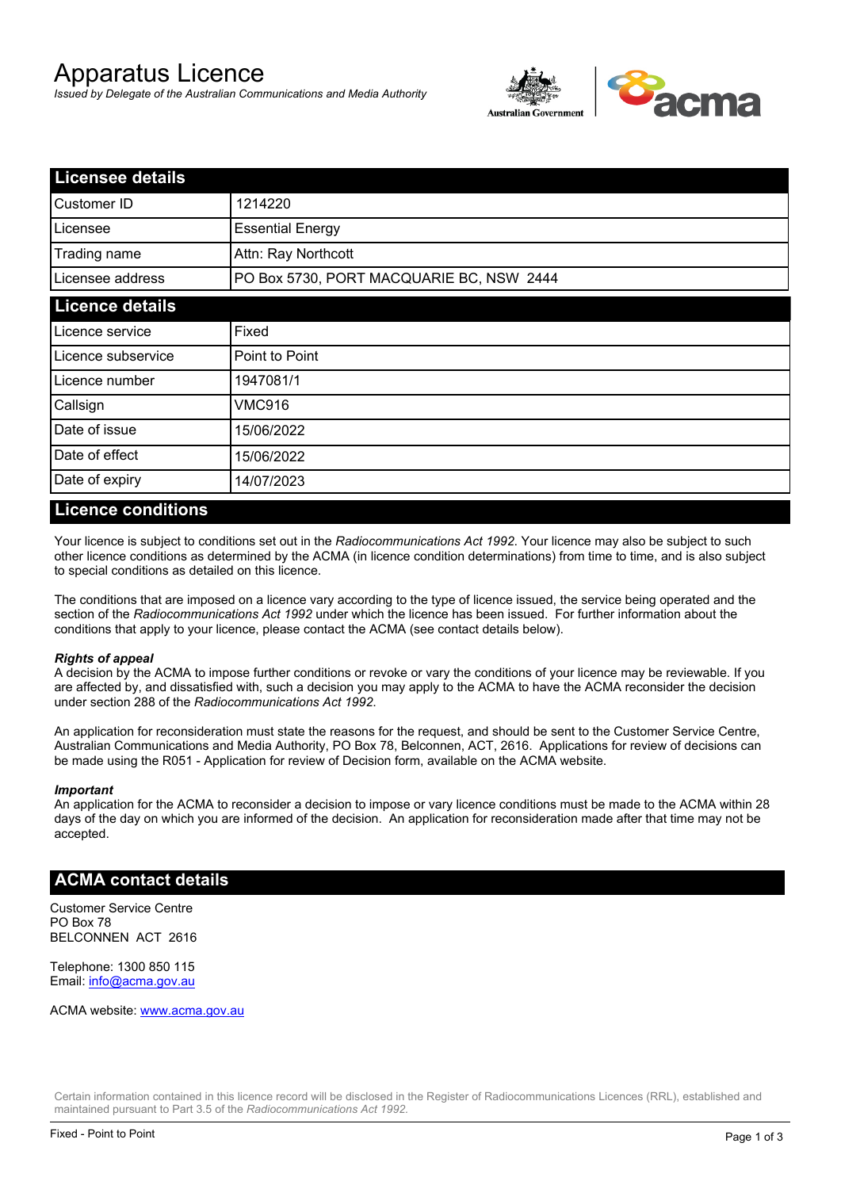# Apparatus Licence

*Issued by Delegate of the Australian Communications and Media Authority*



| <b>Licensee details</b> |                                          |  |  |
|-------------------------|------------------------------------------|--|--|
| Customer ID             | 1214220                                  |  |  |
| Licensee                | <b>Essential Energy</b>                  |  |  |
| Trading name            | Attn: Ray Northcott                      |  |  |
| Licensee address        | PO Box 5730, PORT MACQUARIE BC, NSW 2444 |  |  |
| <b>Licence details</b>  |                                          |  |  |
| Licence service         | Fixed                                    |  |  |
| Licence subservice      | Point to Point                           |  |  |
| Licence number          | 1947081/1                                |  |  |
| Callsign                | VMC916                                   |  |  |
| Date of issue           | 15/06/2022                               |  |  |
| Date of effect          | 15/06/2022                               |  |  |
| Date of expiry          | 14/07/2023                               |  |  |

#### **Licence conditions**

Your licence is subject to conditions set out in the *Radiocommunications Act 1992*. Your licence may also be subject to such other licence conditions as determined by the ACMA (in licence condition determinations) from time to time, and is also subject to special conditions as detailed on this licence.

The conditions that are imposed on a licence vary according to the type of licence issued, the service being operated and the section of the *Radiocommunications Act 1992* under which the licence has been issued. For further information about the conditions that apply to your licence, please contact the ACMA (see contact details below).

#### *Rights of appeal*

A decision by the ACMA to impose further conditions or revoke or vary the conditions of your licence may be reviewable. If you are affected by, and dissatisfied with, such a decision you may apply to the ACMA to have the ACMA reconsider the decision under section 288 of the *Radiocommunications Act 1992*.

An application for reconsideration must state the reasons for the request, and should be sent to the Customer Service Centre, Australian Communications and Media Authority, PO Box 78, Belconnen, ACT, 2616. Applications for review of decisions can be made using the R051 - Application for review of Decision form, available on the ACMA website.

#### *Important*

An application for the ACMA to reconsider a decision to impose or vary licence conditions must be made to the ACMA within 28 days of the day on which you are informed of the decision. An application for reconsideration made after that time may not be accepted.

#### **ACMA contact details**

Customer Service Centre PO Box 78 BELCONNEN ACT 2616

Telephone: 1300 850 115 Email: info@acma.gov.au

ACMA website: www.acma.gov.au

Certain information contained in this licence record will be disclosed in the Register of Radiocommunications Licences (RRL), established and maintained pursuant to Part 3.5 of the *Radiocommunications Act 1992.*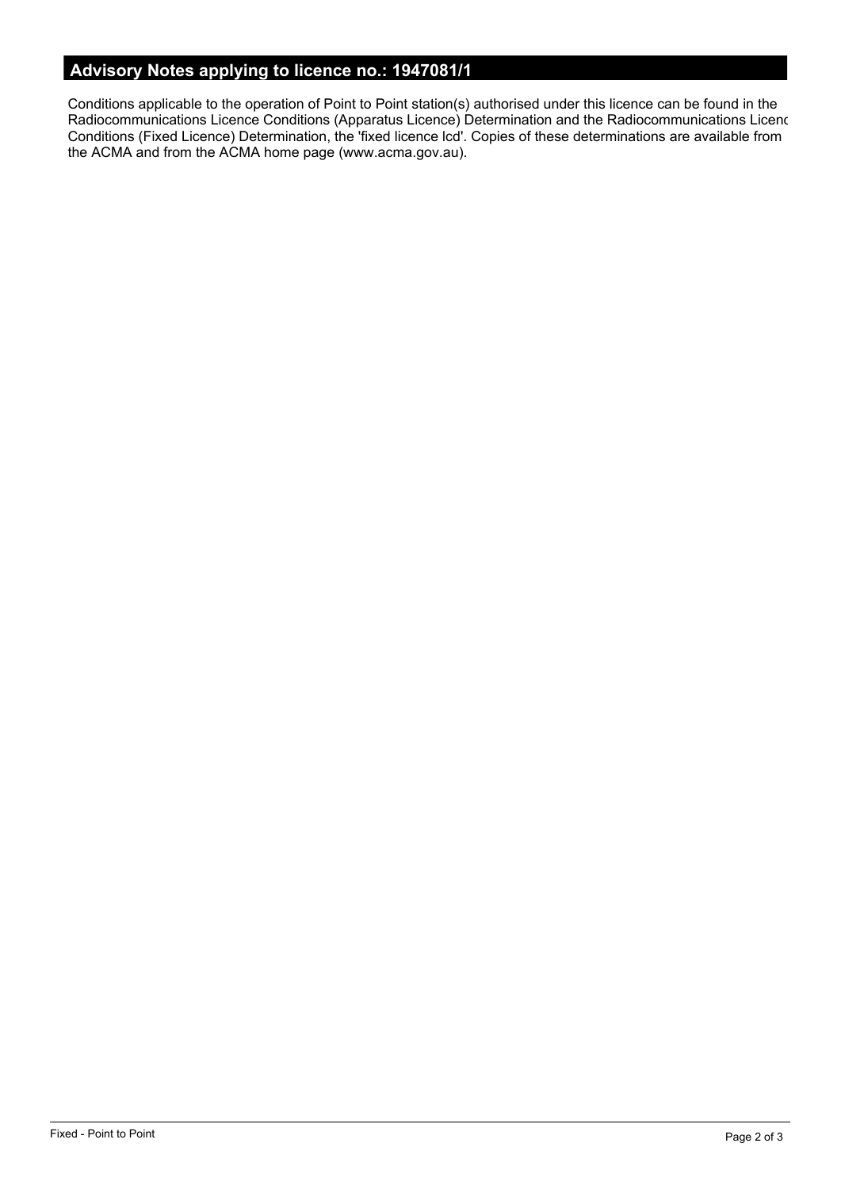# **Advisory Notes applying to licence no.: 1947081/1**

Conditions applicable to the operation of Point to Point station(s) authorised under this licence can be found in the Radiocommunications Licence Conditions (Apparatus Licence) Determination and the Radiocommunications Licence Conditions (Fixed Licence) Determination, the 'fixed licence lcd'. Copies of these determinations are available from the ACMA and from the ACMA home page (www.acma.gov.au).